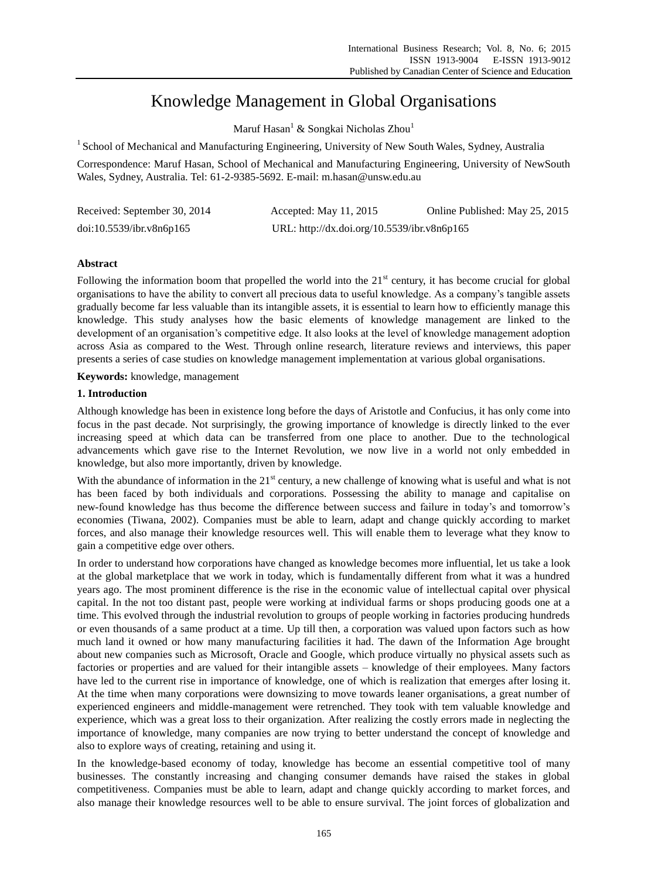# Knowledge Management in Global Organisations

Maruf Hasan<sup>1</sup> & Songkai Nicholas Zhou<sup>1</sup>

<sup>1</sup> School of Mechanical and Manufacturing Engineering, University of New South Wales, Sydney, Australia

Correspondence: Maruf Hasan, School of Mechanical and Manufacturing Engineering, University of NewSouth Wales, Sydney, Australia. Tel: 61-2-9385-5692. E-mail: m.hasan@unsw.edu.au

| Received: September 30, 2014 | Accepted: May $11, 2015$                    | Online Published: May 25, 2015 |
|------------------------------|---------------------------------------------|--------------------------------|
| doi:10.5539/ibr.v8n6p165     | URL: http://dx.doi.org/10.5539/ibr.v8n6p165 |                                |

# **Abstract**

Following the information boom that propelled the world into the  $21<sup>st</sup>$  century, it has become crucial for global organisations to have the ability to convert all precious data to useful knowledge. As a company's tangible assets gradually become far less valuable than its intangible assets, it is essential to learn how to efficiently manage this knowledge. This study analyses how the basic elements of knowledge management are linked to the development of an organisation's competitive edge. It also looks at the level of knowledge management adoption across Asia as compared to the West. Through online research, literature reviews and interviews, this paper presents a series of case studies on knowledge management implementation at various global organisations.

**Keywords:** knowledge, management

## **1. Introduction**

Although knowledge has been in existence long before the days of Aristotle and Confucius, it has only come into focus in the past decade. Not surprisingly, the growing importance of knowledge is directly linked to the ever increasing speed at which data can be transferred from one place to another. Due to the technological advancements which gave rise to the Internet Revolution, we now live in a world not only embedded in knowledge, but also more importantly, driven by knowledge.

With the abundance of information in the  $21<sup>st</sup>$  century, a new challenge of knowing what is useful and what is not has been faced by both individuals and corporations. Possessing the ability to manage and capitalise on new-found knowledge has thus become the difference between success and failure in today's and tomorrow's economies (Tiwana, 2002). Companies must be able to learn, adapt and change quickly according to market forces, and also manage their knowledge resources well. This will enable them to leverage what they know to gain a competitive edge over others.

In order to understand how corporations have changed as knowledge becomes more influential, let us take a look at the global marketplace that we work in today, which is fundamentally different from what it was a hundred years ago. The most prominent difference is the rise in the economic value of intellectual capital over physical capital. In the not too distant past, people were working at individual farms or shops producing goods one at a time. This evolved through the industrial revolution to groups of people working in factories producing hundreds or even thousands of a same product at a time. Up till then, a corporation was valued upon factors such as how much land it owned or how many manufacturing facilities it had. The dawn of the Information Age brought about new companies such as Microsoft, Oracle and Google, which produce virtually no physical assets such as factories or properties and are valued for their intangible assets – knowledge of their employees. Many factors have led to the current rise in importance of knowledge, one of which is realization that emerges after losing it. At the time when many corporations were downsizing to move towards leaner organisations, a great number of experienced engineers and middle-management were retrenched. They took with tem valuable knowledge and experience, which was a great loss to their organization. After realizing the costly errors made in neglecting the importance of knowledge, many companies are now trying to better understand the concept of knowledge and also to explore ways of creating, retaining and using it.

In the knowledge-based economy of today, knowledge has become an essential competitive tool of many businesses. The constantly increasing and changing consumer demands have raised the stakes in global competitiveness. Companies must be able to learn, adapt and change quickly according to market forces, and also manage their knowledge resources well to be able to ensure survival. The joint forces of globalization and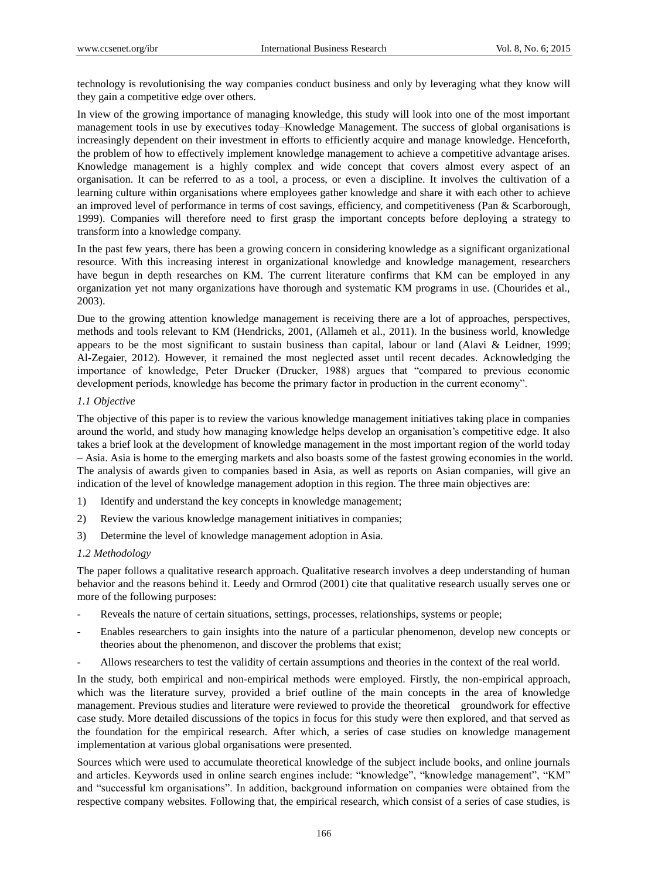technology is revolutionising the way companies conduct business and only by leveraging what they know will they gain a competitive edge over others.

In view of the growing importance of managing knowledge, this study will look into one of the most important management tools in use by executives today–Knowledge Management. The success of global organisations is increasingly dependent on their investment in efforts to efficiently acquire and manage knowledge. Henceforth, the problem of how to effectively implement knowledge management to achieve a competitive advantage arises. Knowledge management is a highly complex and wide concept that covers almost every aspect of an organisation. It can be referred to as a tool, a process, or even a discipline. It involves the cultivation of a learning culture within organisations where employees gather knowledge and share it with each other to achieve an improved level of performance in terms of cost savings, efficiency, and competitiveness (Pan & Scarborough, 1999). Companies will therefore need to first grasp the important concepts before deploying a strategy to transform into a knowledge company.

In the past few years, there has been a growing concern in considering knowledge as a significant organizational resource. With this increasing interest in organizational knowledge and knowledge management, researchers have begun in depth researches on KM. The current literature confirms that KM can be employed in any organization yet not many organizations have thorough and systematic KM programs in use. (Chourides et al., 2003).

Due to the growing attention knowledge management is receiving there are a lot of approaches, perspectives, methods and tools relevant to KM (Hendricks, 2001, (Allameh et al., 2011). In the business world, knowledge appears to be the most significant to sustain business than capital, labour or land (Alavi & Leidner, 1999; Al-Zegaier, 2012). However, it remained the most neglected asset until recent decades. Acknowledging the importance of knowledge, Peter Drucker (Drucker, 1988) argues that "compared to previous economic development periods, knowledge has become the primary factor in production in the current economy".

## *1.1 Objective*

The objective of this paper is to review the various knowledge management initiatives taking place in companies around the world, and study how managing knowledge helps develop an organisation's competitive edge. It also takes a brief look at the development of knowledge management in the most important region of the world today – Asia. Asia is home to the emerging markets and also boasts some of the fastest growing economies in the world. The analysis of awards given to companies based in Asia, as well as reports on Asian companies, will give an indication of the level of knowledge management adoption in this region. The three main objectives are:

- 1) Identify and understand the key concepts in knowledge management;
- 2) Review the various knowledge management initiatives in companies;
- 3) Determine the level of knowledge management adoption in Asia.

## *1.2 Methodology*

The paper follows a qualitative research approach. Qualitative research involves a deep understanding of human behavior and the reasons behind it. Leedy and Ormrod (2001) cite that qualitative research usually serves one or more of the following purposes:

- Reveals the nature of certain situations, settings, processes, relationships, systems or people;
- Enables researchers to gain insights into the nature of a particular phenomenon, develop new concepts or theories about the phenomenon, and discover the problems that exist;
- Allows researchers to test the validity of certain assumptions and theories in the context of the real world.

In the study, both empirical and non-empirical methods were employed. Firstly, the non-empirical approach, which was the literature survey, provided a brief outline of the main concepts in the area of knowledge management. Previous studies and literature were reviewed to provide the theoretical groundwork for effective case study. More detailed discussions of the topics in focus for this study were then explored, and that served as the foundation for the empirical research. After which, a series of case studies on knowledge management implementation at various global organisations were presented.

Sources which were used to accumulate theoretical knowledge of the subject include books, and online journals and articles. Keywords used in online search engines include: "knowledge", "knowledge management", "KM" and "successful km organisations". In addition, background information on companies were obtained from the respective company websites. Following that, the empirical research, which consist of a series of case studies, is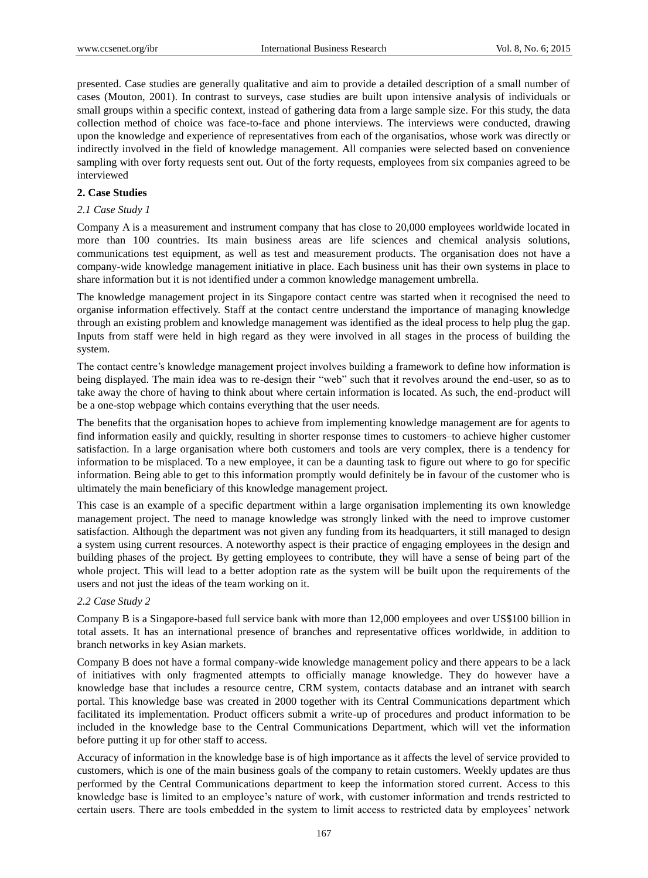presented. Case studies are generally qualitative and aim to provide a detailed description of a small number of cases (Mouton, 2001). In contrast to surveys, case studies are built upon intensive analysis of individuals or small groups within a specific context, instead of gathering data from a large sample size. For this study, the data collection method of choice was face-to-face and phone interviews. The interviews were conducted, drawing upon the knowledge and experience of representatives from each of the organisatios, whose work was directly or indirectly involved in the field of knowledge management. All companies were selected based on convenience sampling with over forty requests sent out. Out of the forty requests, employees from six companies agreed to be interviewed

# **2. Case Studies**

## *2.1 Case Study 1*

Company A is a measurement and instrument company that has close to 20,000 employees worldwide located in more than 100 countries. Its main business areas are life sciences and chemical analysis solutions, communications test equipment, as well as test and measurement products. The organisation does not have a company-wide knowledge management initiative in place. Each business unit has their own systems in place to share information but it is not identified under a common knowledge management umbrella.

The knowledge management project in its Singapore contact centre was started when it recognised the need to organise information effectively. Staff at the contact centre understand the importance of managing knowledge through an existing problem and knowledge management was identified as the ideal process to help plug the gap. Inputs from staff were held in high regard as they were involved in all stages in the process of building the system.

The contact centre's knowledge management project involves building a framework to define how information is being displayed. The main idea was to re-design their "web" such that it revolves around the end-user, so as to take away the chore of having to think about where certain information is located. As such, the end-product will be a one-stop webpage which contains everything that the user needs.

The benefits that the organisation hopes to achieve from implementing knowledge management are for agents to find information easily and quickly, resulting in shorter response times to customers–to achieve higher customer satisfaction. In a large organisation where both customers and tools are very complex, there is a tendency for information to be misplaced. To a new employee, it can be a daunting task to figure out where to go for specific information. Being able to get to this information promptly would definitely be in favour of the customer who is ultimately the main beneficiary of this knowledge management project.

This case is an example of a specific department within a large organisation implementing its own knowledge management project. The need to manage knowledge was strongly linked with the need to improve customer satisfaction. Although the department was not given any funding from its headquarters, it still managed to design a system using current resources. A noteworthy aspect is their practice of engaging employees in the design and building phases of the project. By getting employees to contribute, they will have a sense of being part of the whole project. This will lead to a better adoption rate as the system will be built upon the requirements of the users and not just the ideas of the team working on it.

## *2.2 Case Study 2*

Company B is a Singapore-based full service bank with more than 12,000 employees and over US\$100 billion in total assets. It has an international presence of branches and representative offices worldwide, in addition to branch networks in key Asian markets.

Company B does not have a formal company-wide knowledge management policy and there appears to be a lack of initiatives with only fragmented attempts to officially manage knowledge. They do however have a knowledge base that includes a resource centre, CRM system, contacts database and an intranet with search portal. This knowledge base was created in 2000 together with its Central Communications department which facilitated its implementation. Product officers submit a write-up of procedures and product information to be included in the knowledge base to the Central Communications Department, which will vet the information before putting it up for other staff to access.

Accuracy of information in the knowledge base is of high importance as it affects the level of service provided to customers, which is one of the main business goals of the company to retain customers. Weekly updates are thus performed by the Central Communications department to keep the information stored current. Access to this knowledge base is limited to an employee's nature of work, with customer information and trends restricted to certain users. There are tools embedded in the system to limit access to restricted data by employees' network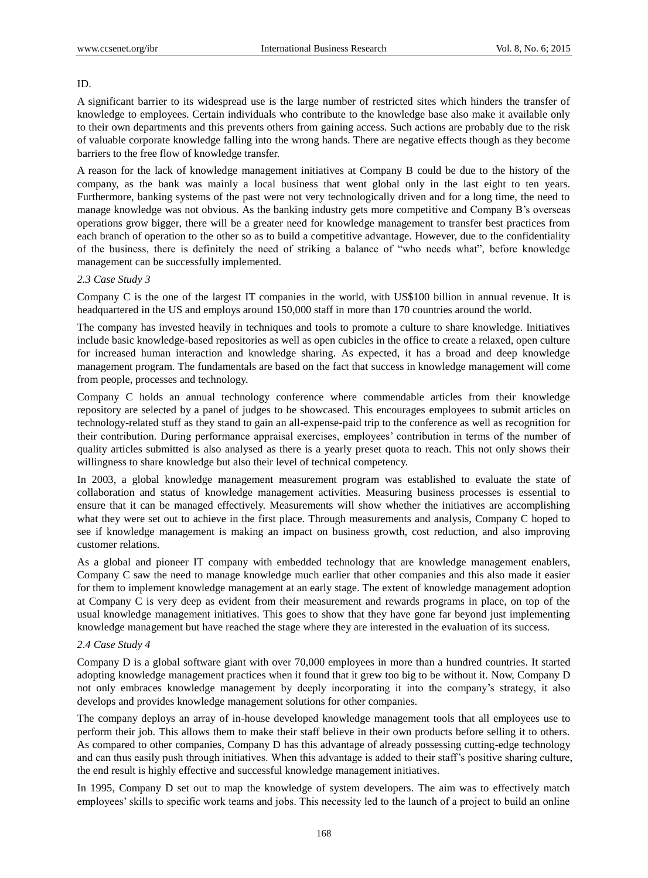## ID.

A significant barrier to its widespread use is the large number of restricted sites which hinders the transfer of knowledge to employees. Certain individuals who contribute to the knowledge base also make it available only to their own departments and this prevents others from gaining access. Such actions are probably due to the risk of valuable corporate knowledge falling into the wrong hands. There are negative effects though as they become barriers to the free flow of knowledge transfer.

A reason for the lack of knowledge management initiatives at Company B could be due to the history of the company, as the bank was mainly a local business that went global only in the last eight to ten years. Furthermore, banking systems of the past were not very technologically driven and for a long time, the need to manage knowledge was not obvious. As the banking industry gets more competitive and Company B's overseas operations grow bigger, there will be a greater need for knowledge management to transfer best practices from each branch of operation to the other so as to build a competitive advantage. However, due to the confidentiality of the business, there is definitely the need of striking a balance of "who needs what", before knowledge management can be successfully implemented.

## *2.3 Case Study 3*

Company C is the one of the largest IT companies in the world, with US\$100 billion in annual revenue. It is headquartered in the US and employs around 150,000 staff in more than 170 countries around the world.

The company has invested heavily in techniques and tools to promote a culture to share knowledge. Initiatives include basic knowledge-based repositories as well as open cubicles in the office to create a relaxed, open culture for increased human interaction and knowledge sharing. As expected, it has a broad and deep knowledge management program. The fundamentals are based on the fact that success in knowledge management will come from people, processes and technology.

Company C holds an annual technology conference where commendable articles from their knowledge repository are selected by a panel of judges to be showcased. This encourages employees to submit articles on technology-related stuff as they stand to gain an all-expense-paid trip to the conference as well as recognition for their contribution. During performance appraisal exercises, employees' contribution in terms of the number of quality articles submitted is also analysed as there is a yearly preset quota to reach. This not only shows their willingness to share knowledge but also their level of technical competency.

In 2003, a global knowledge management measurement program was established to evaluate the state of collaboration and status of knowledge management activities. Measuring business processes is essential to ensure that it can be managed effectively. Measurements will show whether the initiatives are accomplishing what they were set out to achieve in the first place. Through measurements and analysis, Company C hoped to see if knowledge management is making an impact on business growth, cost reduction, and also improving customer relations.

As a global and pioneer IT company with embedded technology that are knowledge management enablers, Company C saw the need to manage knowledge much earlier that other companies and this also made it easier for them to implement knowledge management at an early stage. The extent of knowledge management adoption at Company C is very deep as evident from their measurement and rewards programs in place, on top of the usual knowledge management initiatives. This goes to show that they have gone far beyond just implementing knowledge management but have reached the stage where they are interested in the evaluation of its success.

# *2.4 Case Study 4*

Company D is a global software giant with over 70,000 employees in more than a hundred countries. It started adopting knowledge management practices when it found that it grew too big to be without it. Now, Company D not only embraces knowledge management by deeply incorporating it into the company's strategy, it also develops and provides knowledge management solutions for other companies.

The company deploys an array of in-house developed knowledge management tools that all employees use to perform their job. This allows them to make their staff believe in their own products before selling it to others. As compared to other companies, Company D has this advantage of already possessing cutting-edge technology and can thus easily push through initiatives. When this advantage is added to their staff's positive sharing culture, the end result is highly effective and successful knowledge management initiatives.

In 1995, Company D set out to map the knowledge of system developers. The aim was to effectively match employees' skills to specific work teams and jobs. This necessity led to the launch of a project to build an online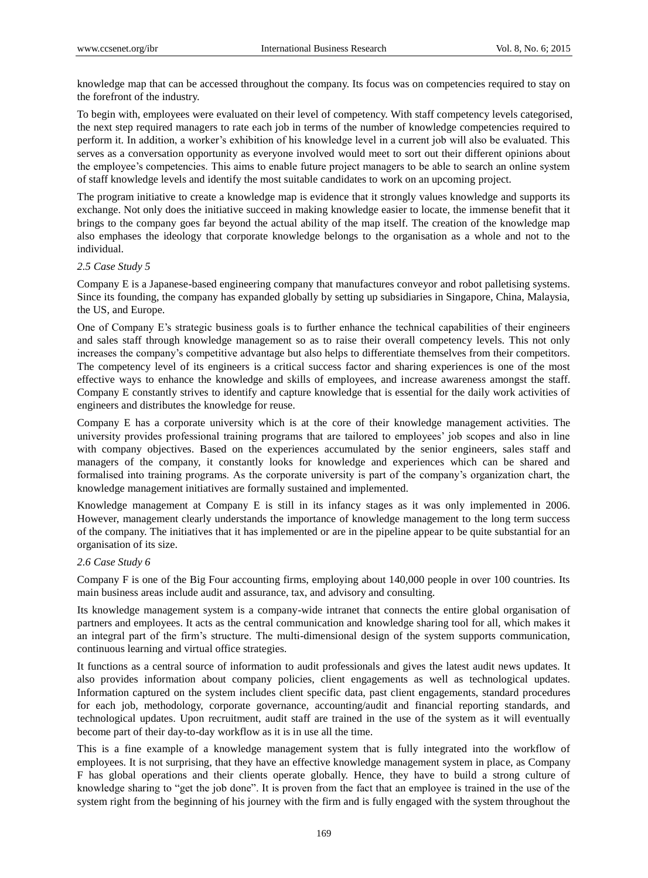knowledge map that can be accessed throughout the company. Its focus was on competencies required to stay on the forefront of the industry.

To begin with, employees were evaluated on their level of competency. With staff competency levels categorised, the next step required managers to rate each job in terms of the number of knowledge competencies required to perform it. In addition, a worker's exhibition of his knowledge level in a current job will also be evaluated. This serves as a conversation opportunity as everyone involved would meet to sort out their different opinions about the employee's competencies. This aims to enable future project managers to be able to search an online system of staff knowledge levels and identify the most suitable candidates to work on an upcoming project.

The program initiative to create a knowledge map is evidence that it strongly values knowledge and supports its exchange. Not only does the initiative succeed in making knowledge easier to locate, the immense benefit that it brings to the company goes far beyond the actual ability of the map itself. The creation of the knowledge map also emphases the ideology that corporate knowledge belongs to the organisation as a whole and not to the individual.

#### *2.5 Case Study 5*

Company E is a Japanese-based engineering company that manufactures conveyor and robot palletising systems. Since its founding, the company has expanded globally by setting up subsidiaries in Singapore, China, Malaysia, the US, and Europe.

One of Company E's strategic business goals is to further enhance the technical capabilities of their engineers and sales staff through knowledge management so as to raise their overall competency levels. This not only increases the company's competitive advantage but also helps to differentiate themselves from their competitors. The competency level of its engineers is a critical success factor and sharing experiences is one of the most effective ways to enhance the knowledge and skills of employees, and increase awareness amongst the staff. Company E constantly strives to identify and capture knowledge that is essential for the daily work activities of engineers and distributes the knowledge for reuse.

Company E has a corporate university which is at the core of their knowledge management activities. The university provides professional training programs that are tailored to employees' job scopes and also in line with company objectives. Based on the experiences accumulated by the senior engineers, sales staff and managers of the company, it constantly looks for knowledge and experiences which can be shared and formalised into training programs. As the corporate university is part of the company's organization chart, the knowledge management initiatives are formally sustained and implemented.

Knowledge management at Company E is still in its infancy stages as it was only implemented in 2006. However, management clearly understands the importance of knowledge management to the long term success of the company. The initiatives that it has implemented or are in the pipeline appear to be quite substantial for an organisation of its size.

#### *2.6 Case Study 6*

Company F is one of the Big Four accounting firms, employing about 140,000 people in over 100 countries. Its main business areas include audit and assurance, tax, and advisory and consulting.

Its knowledge management system is a company-wide intranet that connects the entire global organisation of partners and employees. It acts as the central communication and knowledge sharing tool for all, which makes it an integral part of the firm's structure. The multi-dimensional design of the system supports communication, continuous learning and virtual office strategies.

It functions as a central source of information to audit professionals and gives the latest audit news updates. It also provides information about company policies, client engagements as well as technological updates. Information captured on the system includes client specific data, past client engagements, standard procedures for each job, methodology, corporate governance, accounting/audit and financial reporting standards, and technological updates. Upon recruitment, audit staff are trained in the use of the system as it will eventually become part of their day-to-day workflow as it is in use all the time.

This is a fine example of a knowledge management system that is fully integrated into the workflow of employees. It is not surprising, that they have an effective knowledge management system in place, as Company F has global operations and their clients operate globally. Hence, they have to build a strong culture of knowledge sharing to "get the job done". It is proven from the fact that an employee is trained in the use of the system right from the beginning of his journey with the firm and is fully engaged with the system throughout the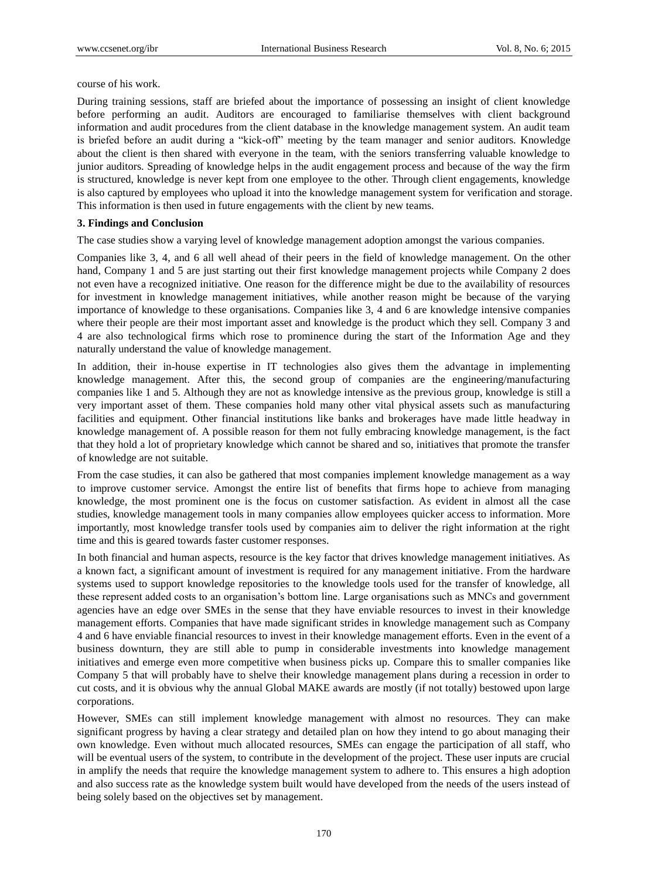course of his work.

During training sessions, staff are briefed about the importance of possessing an insight of client knowledge before performing an audit. Auditors are encouraged to familiarise themselves with client background information and audit procedures from the client database in the knowledge management system. An audit team is briefed before an audit during a "kick-off" meeting by the team manager and senior auditors. Knowledge about the client is then shared with everyone in the team, with the seniors transferring valuable knowledge to junior auditors. Spreading of knowledge helps in the audit engagement process and because of the way the firm is structured, knowledge is never kept from one employee to the other. Through client engagements, knowledge is also captured by employees who upload it into the knowledge management system for verification and storage. This information is then used in future engagements with the client by new teams.

## **3. Findings and Conclusion**

The case studies show a varying level of knowledge management adoption amongst the various companies.

Companies like 3, 4, and 6 all well ahead of their peers in the field of knowledge management. On the other hand, Company 1 and 5 are just starting out their first knowledge management projects while Company 2 does not even have a recognized initiative. One reason for the difference might be due to the availability of resources for investment in knowledge management initiatives, while another reason might be because of the varying importance of knowledge to these organisations. Companies like 3, 4 and 6 are knowledge intensive companies where their people are their most important asset and knowledge is the product which they sell. Company 3 and 4 are also technological firms which rose to prominence during the start of the Information Age and they naturally understand the value of knowledge management.

In addition, their in-house expertise in IT technologies also gives them the advantage in implementing knowledge management. After this, the second group of companies are the engineering/manufacturing companies like 1 and 5. Although they are not as knowledge intensive as the previous group, knowledge is still a very important asset of them. These companies hold many other vital physical assets such as manufacturing facilities and equipment. Other financial institutions like banks and brokerages have made little headway in knowledge management of. A possible reason for them not fully embracing knowledge management, is the fact that they hold a lot of proprietary knowledge which cannot be shared and so, initiatives that promote the transfer of knowledge are not suitable.

From the case studies, it can also be gathered that most companies implement knowledge management as a way to improve customer service. Amongst the entire list of benefits that firms hope to achieve from managing knowledge, the most prominent one is the focus on customer satisfaction. As evident in almost all the case studies, knowledge management tools in many companies allow employees quicker access to information. More importantly, most knowledge transfer tools used by companies aim to deliver the right information at the right time and this is geared towards faster customer responses.

In both financial and human aspects, resource is the key factor that drives knowledge management initiatives. As a known fact, a significant amount of investment is required for any management initiative. From the hardware systems used to support knowledge repositories to the knowledge tools used for the transfer of knowledge, all these represent added costs to an organisation's bottom line. Large organisations such as MNCs and government agencies have an edge over SMEs in the sense that they have enviable resources to invest in their knowledge management efforts. Companies that have made significant strides in knowledge management such as Company 4 and 6 have enviable financial resources to invest in their knowledge management efforts. Even in the event of a business downturn, they are still able to pump in considerable investments into knowledge management initiatives and emerge even more competitive when business picks up. Compare this to smaller companies like Company 5 that will probably have to shelve their knowledge management plans during a recession in order to cut costs, and it is obvious why the annual Global MAKE awards are mostly (if not totally) bestowed upon large corporations.

However, SMEs can still implement knowledge management with almost no resources. They can make significant progress by having a clear strategy and detailed plan on how they intend to go about managing their own knowledge. Even without much allocated resources, SMEs can engage the participation of all staff, who will be eventual users of the system, to contribute in the development of the project. These user inputs are crucial in amplify the needs that require the knowledge management system to adhere to. This ensures a high adoption and also success rate as the knowledge system built would have developed from the needs of the users instead of being solely based on the objectives set by management.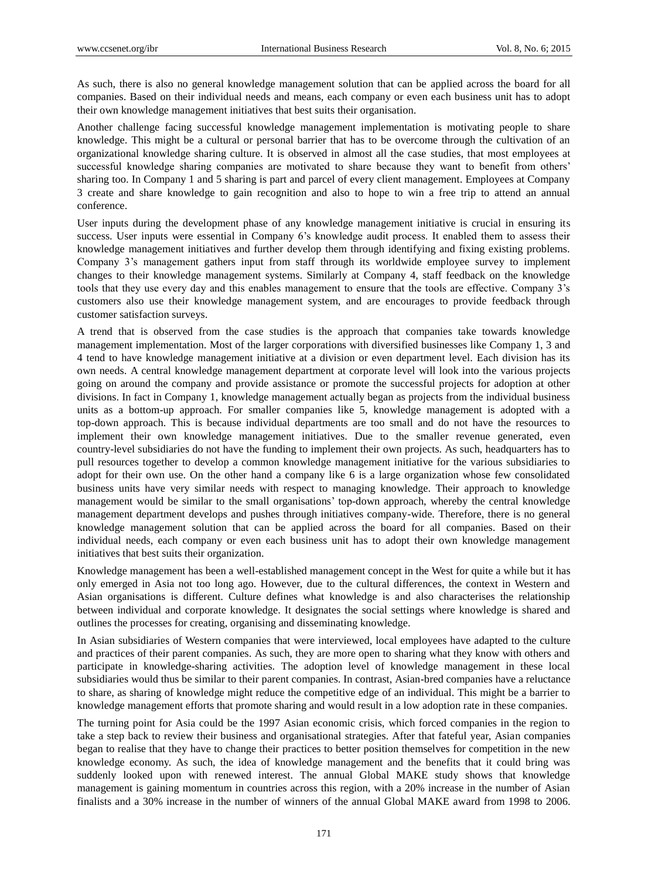As such, there is also no general knowledge management solution that can be applied across the board for all companies. Based on their individual needs and means, each company or even each business unit has to adopt their own knowledge management initiatives that best suits their organisation.

Another challenge facing successful knowledge management implementation is motivating people to share knowledge. This might be a cultural or personal barrier that has to be overcome through the cultivation of an organizational knowledge sharing culture. It is observed in almost all the case studies, that most employees at successful knowledge sharing companies are motivated to share because they want to benefit from others' sharing too. In Company 1 and 5 sharing is part and parcel of every client management. Employees at Company 3 create and share knowledge to gain recognition and also to hope to win a free trip to attend an annual conference.

User inputs during the development phase of any knowledge management initiative is crucial in ensuring its success. User inputs were essential in Company 6's knowledge audit process. It enabled them to assess their knowledge management initiatives and further develop them through identifying and fixing existing problems. Company 3's management gathers input from staff through its worldwide employee survey to implement changes to their knowledge management systems. Similarly at Company 4, staff feedback on the knowledge tools that they use every day and this enables management to ensure that the tools are effective. Company 3's customers also use their knowledge management system, and are encourages to provide feedback through customer satisfaction surveys.

A trend that is observed from the case studies is the approach that companies take towards knowledge management implementation. Most of the larger corporations with diversified businesses like Company 1, 3 and 4 tend to have knowledge management initiative at a division or even department level. Each division has its own needs. A central knowledge management department at corporate level will look into the various projects going on around the company and provide assistance or promote the successful projects for adoption at other divisions. In fact in Company 1, knowledge management actually began as projects from the individual business units as a bottom-up approach. For smaller companies like 5, knowledge management is adopted with a top-down approach. This is because individual departments are too small and do not have the resources to implement their own knowledge management initiatives. Due to the smaller revenue generated, even country-level subsidiaries do not have the funding to implement their own projects. As such, headquarters has to pull resources together to develop a common knowledge management initiative for the various subsidiaries to adopt for their own use. On the other hand a company like 6 is a large organization whose few consolidated business units have very similar needs with respect to managing knowledge. Their approach to knowledge management would be similar to the small organisations' top-down approach, whereby the central knowledge management department develops and pushes through initiatives company-wide. Therefore, there is no general knowledge management solution that can be applied across the board for all companies. Based on their individual needs, each company or even each business unit has to adopt their own knowledge management initiatives that best suits their organization.

Knowledge management has been a well-established management concept in the West for quite a while but it has only emerged in Asia not too long ago. However, due to the cultural differences, the context in Western and Asian organisations is different. Culture defines what knowledge is and also characterises the relationship between individual and corporate knowledge. It designates the social settings where knowledge is shared and outlines the processes for creating, organising and disseminating knowledge.

In Asian subsidiaries of Western companies that were interviewed, local employees have adapted to the culture and practices of their parent companies. As such, they are more open to sharing what they know with others and participate in knowledge-sharing activities. The adoption level of knowledge management in these local subsidiaries would thus be similar to their parent companies. In contrast, Asian-bred companies have a reluctance to share, as sharing of knowledge might reduce the competitive edge of an individual. This might be a barrier to knowledge management efforts that promote sharing and would result in a low adoption rate in these companies.

The turning point for Asia could be the 1997 Asian economic crisis, which forced companies in the region to take a step back to review their business and organisational strategies. After that fateful year, Asian companies began to realise that they have to change their practices to better position themselves for competition in the new knowledge economy. As such, the idea of knowledge management and the benefits that it could bring was suddenly looked upon with renewed interest. The annual Global MAKE study shows that knowledge management is gaining momentum in countries across this region, with a 20% increase in the number of Asian finalists and a 30% increase in the number of winners of the annual Global MAKE award from 1998 to 2006.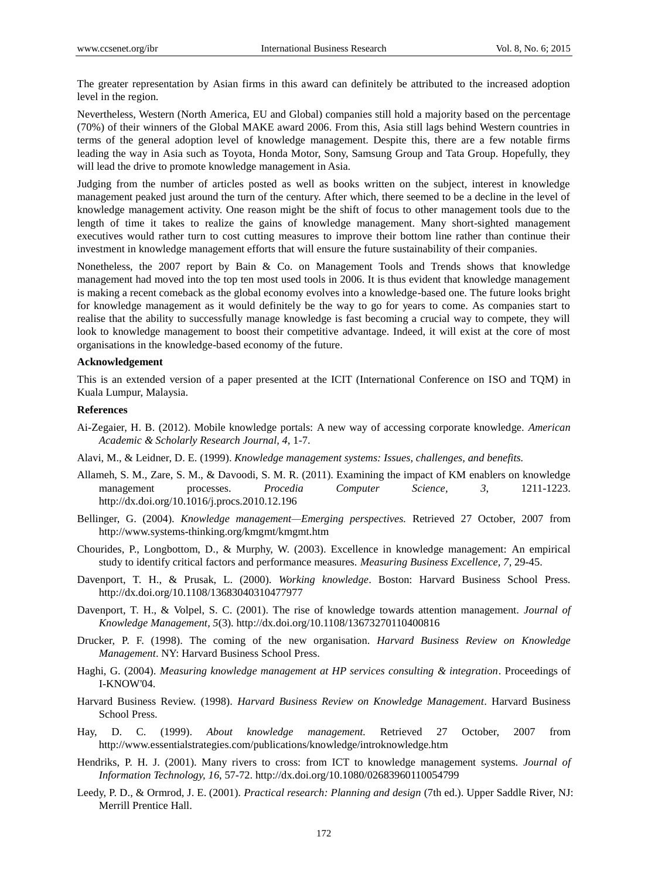The greater representation by Asian firms in this award can definitely be attributed to the increased adoption level in the region.

Nevertheless, Western (North America, EU and Global) companies still hold a majority based on the percentage (70%) of their winners of the Global MAKE award 2006. From this, Asia still lags behind Western countries in terms of the general adoption level of knowledge management. Despite this, there are a few notable firms leading the way in Asia such as Toyota, Honda Motor, Sony, Samsung Group and Tata Group. Hopefully, they will lead the drive to promote knowledge management in Asia.

Judging from the number of articles posted as well as books written on the subject, interest in knowledge management peaked just around the turn of the century. After which, there seemed to be a decline in the level of knowledge management activity. One reason might be the shift of focus to other management tools due to the length of time it takes to realize the gains of knowledge management. Many short-sighted management executives would rather turn to cost cutting measures to improve their bottom line rather than continue their investment in knowledge management efforts that will ensure the future sustainability of their companies.

Nonetheless, the 2007 report by Bain & Co. on Management Tools and Trends shows that knowledge management had moved into the top ten most used tools in 2006. It is thus evident that knowledge management is making a recent comeback as the global economy evolves into a knowledge-based one. The future looks bright for knowledge management as it would definitely be the way to go for years to come. As companies start to realise that the ability to successfully manage knowledge is fast becoming a crucial way to compete, they will look to knowledge management to boost their competitive advantage. Indeed, it will exist at the core of most organisations in the knowledge-based economy of the future.

#### **Acknowledgement**

This is an extended version of a paper presented at the ICIT (International Conference on ISO and TQM) in Kuala Lumpur, Malaysia.

#### **References**

- Ai-Zegaier, H. B. (2012). Mobile knowledge portals: A new way of accessing corporate knowledge. *American Academic & Scholarly Research Journal, 4,* 1-7.
- Alavi, M., & Leidner, D. E. (1999). *Knowledge management systems: Issues, challenges, and benefits.*
- Allameh, S. M., Zare, S. M., & Davoodi, S. M. R. (2011). Examining the impact of KM enablers on knowledge management processes. *Procedia Computer Science, 3*, 1211-1223. http://dx.doi.org/10.1016/j.procs.2010.12.196
- Bellinger, G. (2004). *Knowledge management—Emerging perspectives.* Retrieved 27 October, 2007 from http://www.systems-thinking.org/kmgmt/kmgmt.htm
- Chourides, P., Longbottom, D., & Murphy, W. (2003). Excellence in knowledge management: An empirical study to identify critical factors and performance measures. *Measuring Business Excellence, 7*, 29-45.
- Davenport, T. H., & Prusak, L. (2000). *Working knowledge*. Boston: Harvard Business School Press. http://dx.doi.org/10.1108/13683040310477977
- Davenport, T. H., & Volpel, S. C. (2001). The rise of knowledge towards attention management. *Journal of Knowledge Management, 5*(3). http://dx.doi.org/10.1108/13673270110400816
- Drucker, P. F. (1998). The coming of the new organisation. *Harvard Business Review on Knowledge Management*. NY: Harvard Business School Press.
- Haghi, G. (2004). *Measuring knowledge management at HP services consulting & integration*. Proceedings of I-KNOW'04.
- Harvard Business Review. (1998). *Harvard Business Review on Knowledge Management*. Harvard Business School Press.
- Hay, D. C. (1999). *About knowledge management.* Retrieved 27 October, 2007 from http://www.essentialstrategies.com/publications/knowledge/introknowledge.htm
- Hendriks, P. H. J. (2001). Many rivers to cross: from ICT to knowledge management systems. *Journal of Information Technology, 16*, 57-72. http://dx.doi.org/10.1080/02683960110054799
- Leedy, P. D., & Ormrod, J. E. (2001). *Practical research: Planning and design* (7th ed.). Upper Saddle River, NJ: Merrill Prentice Hall.